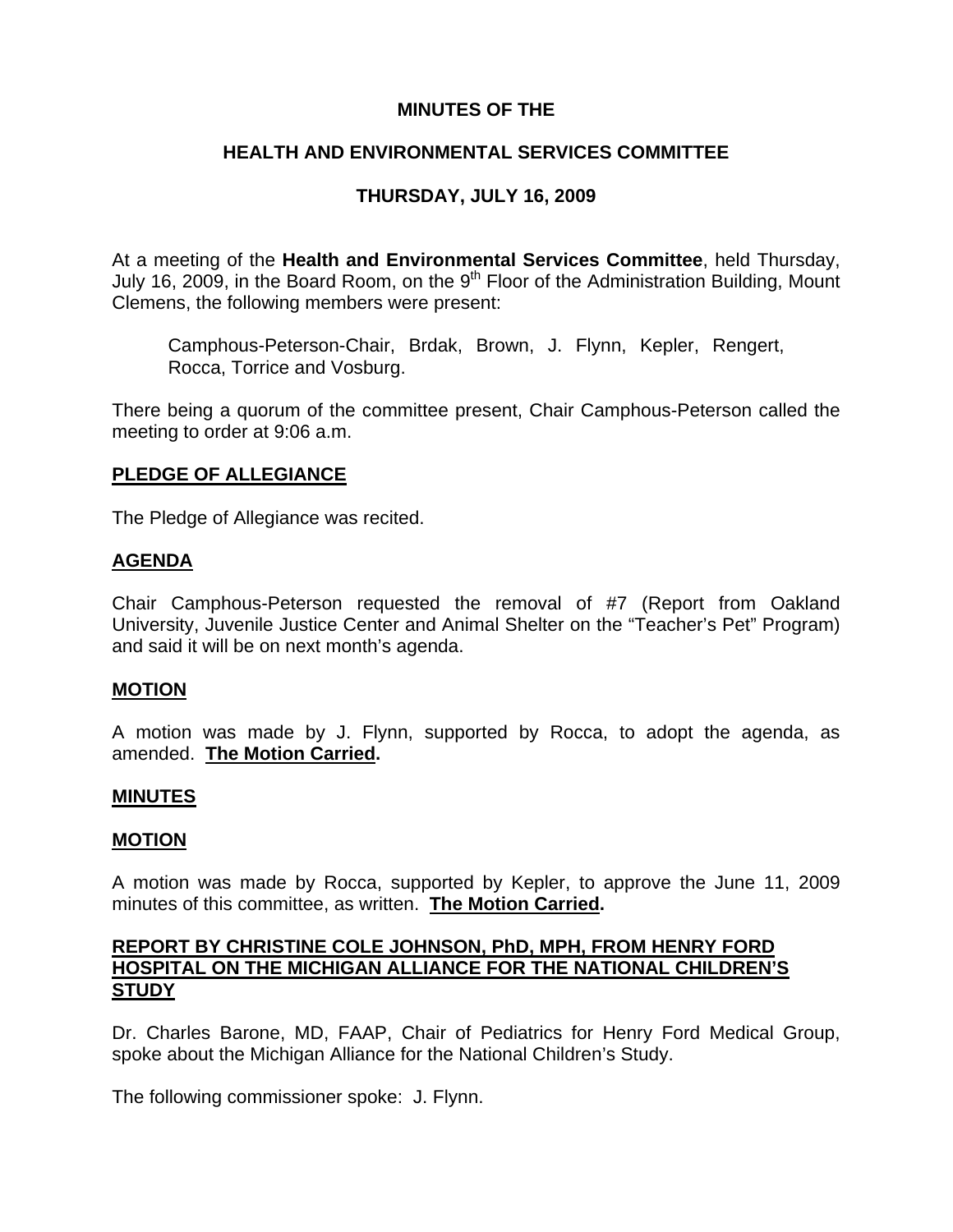# **MINUTES OF THE**

# **HEALTH AND ENVIRONMENTAL SERVICES COMMITTEE**

# **THURSDAY, JULY 16, 2009**

At a meeting of the **Health and Environmental Services Committee**, held Thursday, July 16, 2009, in the Board Room, on the 9<sup>th</sup> Floor of the Administration Building, Mount Clemens, the following members were present:

Camphous-Peterson-Chair, Brdak, Brown, J. Flynn, Kepler, Rengert, Rocca, Torrice and Vosburg.

There being a quorum of the committee present, Chair Camphous-Peterson called the meeting to order at 9:06 a.m.

## **PLEDGE OF ALLEGIANCE**

The Pledge of Allegiance was recited.

## **AGENDA**

Chair Camphous-Peterson requested the removal of #7 (Report from Oakland University, Juvenile Justice Center and Animal Shelter on the "Teacher's Pet" Program) and said it will be on next month's agenda.

## **MOTION**

A motion was made by J. Flynn, supported by Rocca, to adopt the agenda, as amended. **The Motion Carried.** 

## **MINUTES**

## **MOTION**

A motion was made by Rocca, supported by Kepler, to approve the June 11, 2009 minutes of this committee, as written. **The Motion Carried.** 

## **REPORT BY CHRISTINE COLE JOHNSON, PhD, MPH, FROM HENRY FORD HOSPITAL ON THE MICHIGAN ALLIANCE FOR THE NATIONAL CHILDREN'S STUDY**

Dr. Charles Barone, MD, FAAP, Chair of Pediatrics for Henry Ford Medical Group, spoke about the Michigan Alliance for the National Children's Study.

The following commissioner spoke: J. Flynn.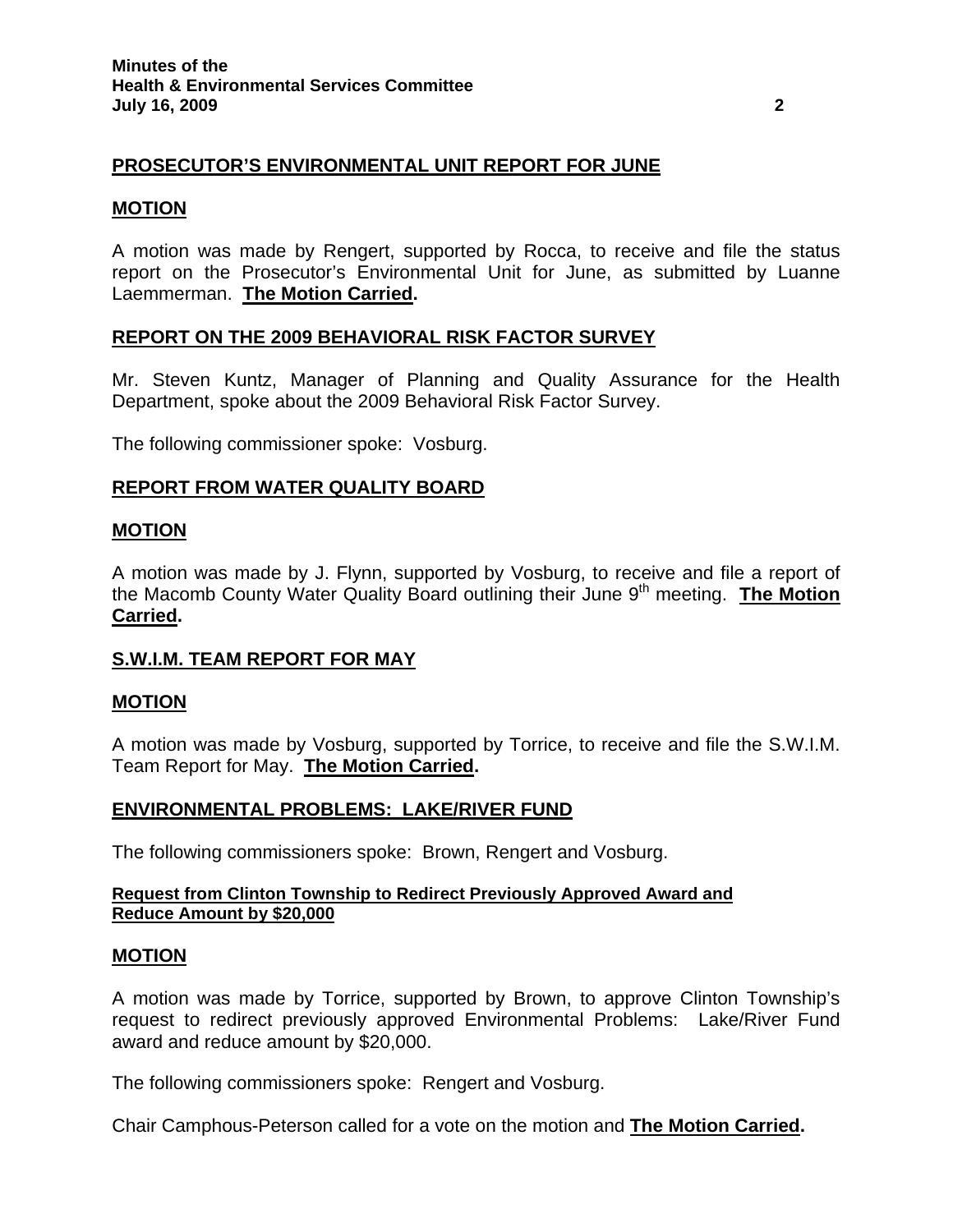# **PROSECUTOR'S ENVIRONMENTAL UNIT REPORT FOR JUNE**

## **MOTION**

A motion was made by Rengert, supported by Rocca, to receive and file the status report on the Prosecutor's Environmental Unit for June, as submitted by Luanne Laemmerman. **The Motion Carried.** 

## **REPORT ON THE 2009 BEHAVIORAL RISK FACTOR SURVEY**

Mr. Steven Kuntz, Manager of Planning and Quality Assurance for the Health Department, spoke about the 2009 Behavioral Risk Factor Survey.

The following commissioner spoke: Vosburg.

## **REPORT FROM WATER QUALITY BOARD**

## **MOTION**

A motion was made by J. Flynn, supported by Vosburg, to receive and file a report of the Macomb County Water Quality Board outlining their June 9<sup>th</sup> meeting. **The Motion Carried.** 

## **S.W.I.M. TEAM REPORT FOR MAY**

## **MOTION**

A motion was made by Vosburg, supported by Torrice, to receive and file the S.W.I.M. Team Report for May. **The Motion Carried.** 

## **ENVIRONMENTAL PROBLEMS: LAKE/RIVER FUND**

The following commissioners spoke: Brown, Rengert and Vosburg.

#### **Request from Clinton Township to Redirect Previously Approved Award and Reduce Amount by \$20,000**

## **MOTION**

A motion was made by Torrice, supported by Brown, to approve Clinton Township's request to redirect previously approved Environmental Problems: Lake/River Fund award and reduce amount by \$20,000.

The following commissioners spoke: Rengert and Vosburg.

Chair Camphous-Peterson called for a vote on the motion and **The Motion Carried.**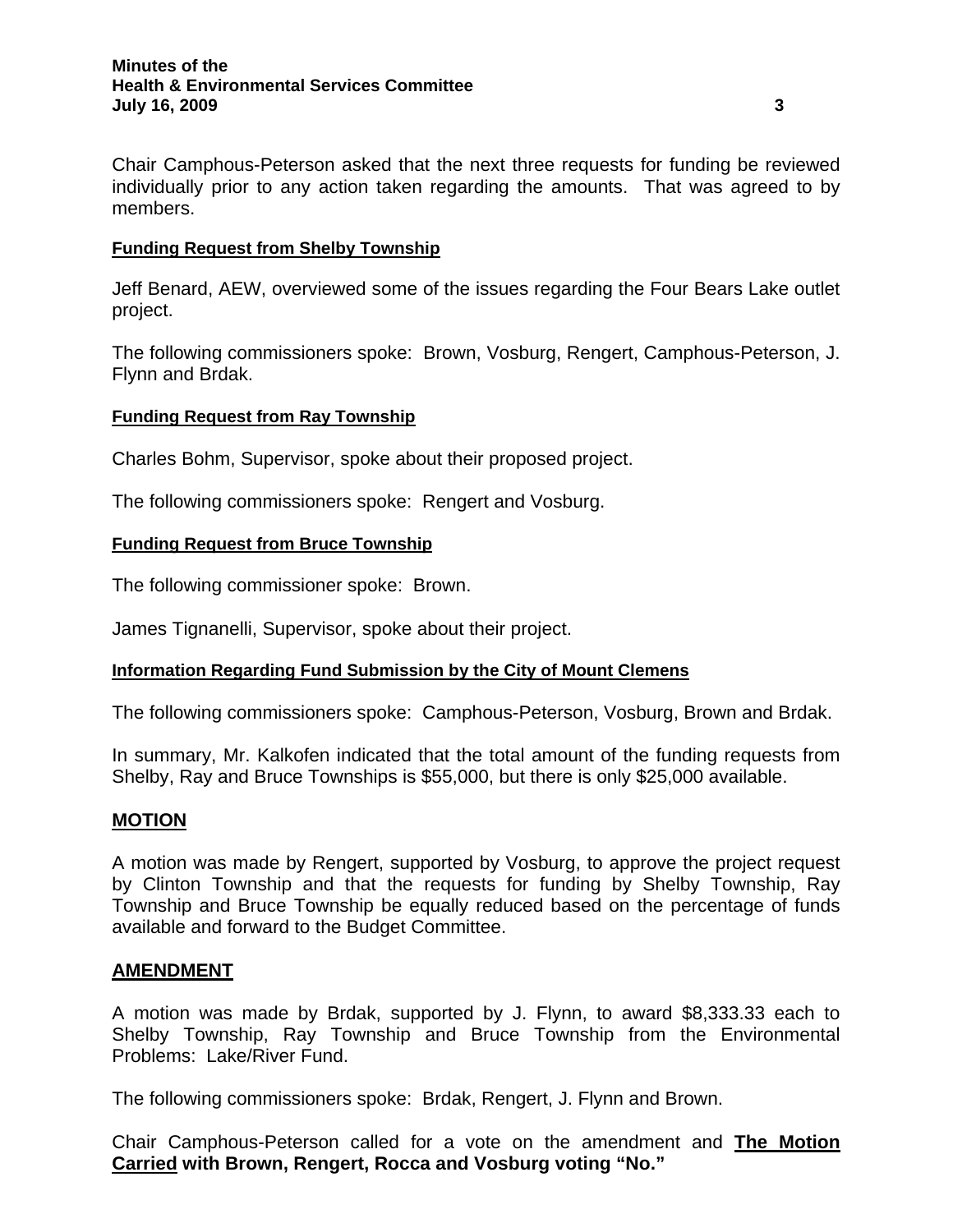#### **Minutes of the Health & Environmental Services Committee July 16, 2009 3**

Chair Camphous-Peterson asked that the next three requests for funding be reviewed individually prior to any action taken regarding the amounts. That was agreed to by members.

## **Funding Request from Shelby Township**

Jeff Benard, AEW, overviewed some of the issues regarding the Four Bears Lake outlet project.

The following commissioners spoke: Brown, Vosburg, Rengert, Camphous-Peterson, J. Flynn and Brdak.

## **Funding Request from Ray Township**

Charles Bohm, Supervisor, spoke about their proposed project.

The following commissioners spoke: Rengert and Vosburg.

## **Funding Request from Bruce Township**

The following commissioner spoke: Brown.

James Tignanelli, Supervisor, spoke about their project.

## **Information Regarding Fund Submission by the City of Mount Clemens**

The following commissioners spoke: Camphous-Peterson, Vosburg, Brown and Brdak.

In summary, Mr. Kalkofen indicated that the total amount of the funding requests from Shelby, Ray and Bruce Townships is \$55,000, but there is only \$25,000 available.

## **MOTION**

A motion was made by Rengert, supported by Vosburg, to approve the project request by Clinton Township and that the requests for funding by Shelby Township, Ray Township and Bruce Township be equally reduced based on the percentage of funds available and forward to the Budget Committee.

# **AMENDMENT**

A motion was made by Brdak, supported by J. Flynn, to award \$8,333.33 each to Shelby Township, Ray Township and Bruce Township from the Environmental Problems: Lake/River Fund.

The following commissioners spoke: Brdak, Rengert, J. Flynn and Brown.

Chair Camphous-Peterson called for a vote on the amendment and **The Motion Carried with Brown, Rengert, Rocca and Vosburg voting "No."**